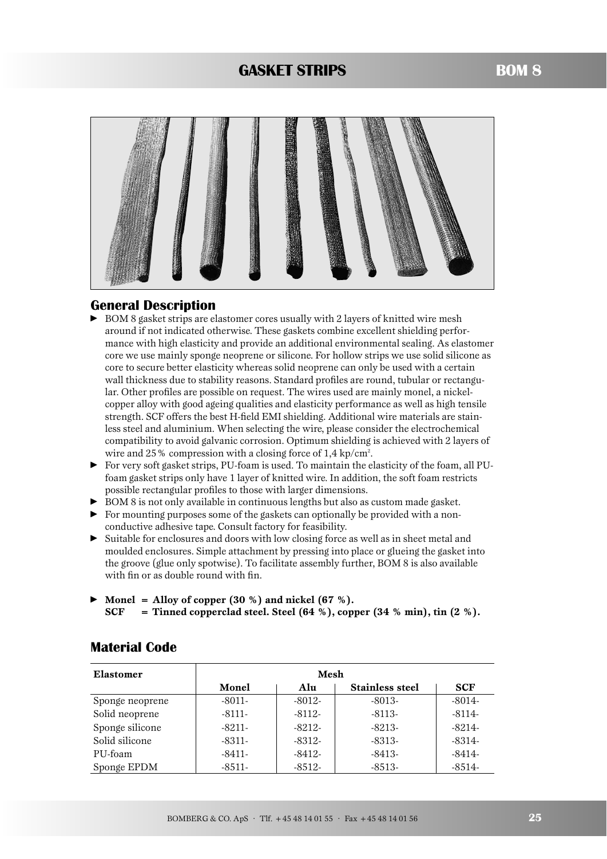## **GASKET STRIPS**



### **General Description**

- BOM 8 gasket strips are elastomer cores usually with 2 layers of knitted wire mesh around if not indicated otherwise. These gaskets combine excellent shielding performance with high elasticity and provide an additional environmental sealing. As elastomer core we use mainly sponge neoprene or silicone. For hollow strips we use solid silicone as core to secure better elasticity whereas solid neoprene can only be used with a certain wall thickness due to stability reasons. Standard profiles are round, tubular or rectangular. Other profiles are possible on request. The wires used are mainly monel, a nickelcopper alloy with good ageing qualities and elasticity performance as well as high tensile strength. SCF offers the best H-field EMI shielding. Additional wire materials are stainless steel and aluminium. When selecting the wire, please consider the electrochemical compatibility to avoid galvanic corrosion. Optimum shielding is achieved with 2 layers of wire and 25 % compression with a closing force of 1,4 kp/cm<sup>2</sup>.
- For very soft gasket strips, PU-foam is used. To maintain the elasticity of the foam, all PUfoam gasket strips only have 1 layer of knitted wire. In addition, the soft foam restricts possible rectangular profiles to those with larger dimensions.
- BOM 8 is not only available in continuous lengths but also as custom made gasket.
- For mounting purposes some of the gaskets can optionally be provided with a nonconductive adhesive tape. Consult factory for feasibility.
- Suitable for enclosures and doors with low closing force as well as in sheet metal and moulded enclosures. Simple attachment by pressing into place or glueing the gasket into the groove (glue only spotwise). To facilitate assembly further, BOM 8 is also available with fin or as double round with fin.
- **Monel = Alloy of copper (30 %) and nickel (67 %). SCF** = Tinned copperclad steel. Steel  $(64 \%)$ , copper  $(34 \% \text{ min})$ , tin  $(2 \%)$ .

| Elastomer       | Mesh     |          |                        |            |  |
|-----------------|----------|----------|------------------------|------------|--|
|                 | Monel    | Alu      | <b>Stainless steel</b> | <b>SCF</b> |  |
| Sponge neoprene | $-8011-$ | $-8012-$ | $-8013-$               | $-8014-$   |  |
| Solid neoprene  | $-8111-$ | $-8112-$ | $-8113-$               | $-8114-$   |  |
| Sponge silicone | $-8211-$ | $-8212-$ | $-8213-$               | $-8214-$   |  |
| Solid silicone  | -8311-   | $-8312-$ | $-8.313-$              | $-8.314-$  |  |
| PU-foam         | -8411-   | $-8412-$ | $-8413-$               | $-8414-$   |  |
| Sponge EPDM     | $-8511-$ | $-8512-$ | $-8513-$               | $-8514-$   |  |

## **Material Code**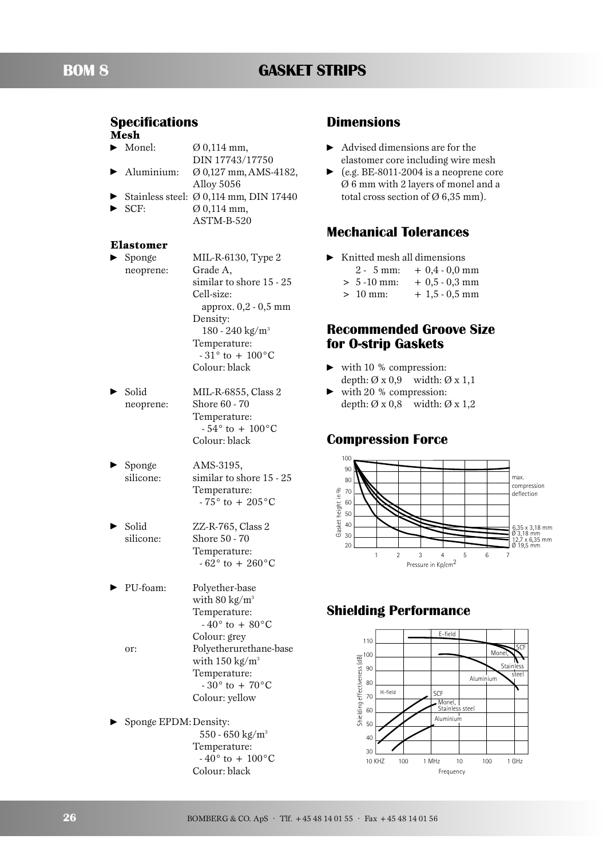## **Specifications**

## **Mesh**

-

-

-

- Monel:  $\varnothing$  0,114 mm,
- DIN 17743/17750 Aluminium: Ø 0,127 mm,AMS-4182,
- -Alloy 5056
- -Stainless steel: Ø 0,114 mm, DIN 17440
- - SCF: Ø 0,114 mm, ASTM-B-520

#### **Elastomer**

- $\blacktriangleright$  Sponge  $MIL-R-6130$ , Type 2 neoprene: Grade A, similar to shore 15 - 25 Cell-size: approx. 0,2 - 0,5 mm Density: 180 - 240 kg/m3 Temperature:  $-31^{\circ}$  to  $+100^{\circ}$ C Colour: black
- -Solid MIL-R-6855, Class 2 neoprene: Shore 60 - 70 Temperature:  $-54^{\circ}$  to  $+100^{\circ}$ C Colour: black
- - Sponge AMS-3195, silicone: similar to shore 15 - 25 Temperature:  $-75^{\circ}$  to  $+205^{\circ}$ C
	- Solid ZZ-R-765, Class 2 silicone: Shore 50 - 70 Temperature:  $-62^\circ$  to  $+260^\circ$ C
	- PU-foam: Polyether-base with  $80 \text{ kg/m}^3$ Temperature:  $-40^\circ$  to  $+80^\circ$ C Colour: grey or: Polyetherurethane-base with  $150 \text{ kg/m}^3$ Temperature:  $-30^{\circ}$  to  $+70^{\circ}$ C Colour: yellow
- ► Sponge EPDM: Density: 550 - 650 kg/m3 Temperature:  $-40^{\circ}$  to  $+100^{\circ}$ C Colour: black

## **Dimensions**

- $\blacktriangleright$  Advised dimensions are for the elastomer core including wire mesh
- $\blacktriangleright$  (e.g. BE-8011-2004 is a neoprene core Ø 6 mm with 2 layers of monel and a total cross section of  $\varnothing$  6,35 mm).

## **Mechanical Tolerances**

- Knitted mesh all dimensions
	- $2 5$  mm:  $+ 0.4 0.0$  mm
	- $> 5 10$  mm:  $+ 0.5 0.3$  mm
	- $> 10$  mm:  $+ 1,5 0,5$  mm

## **Recommended Groove Size for O-strip Gaskets**

- with 10 % compression: depth:  $\varnothing$  x 0,9 width:  $\varnothing$  x 1,1
- $\blacktriangleright$  with 20 % compression: depth:  $\varnothing$  x 0,8 width:  $\varnothing$  x 1,2

## **Compression Force**



## **Shielding Performance**

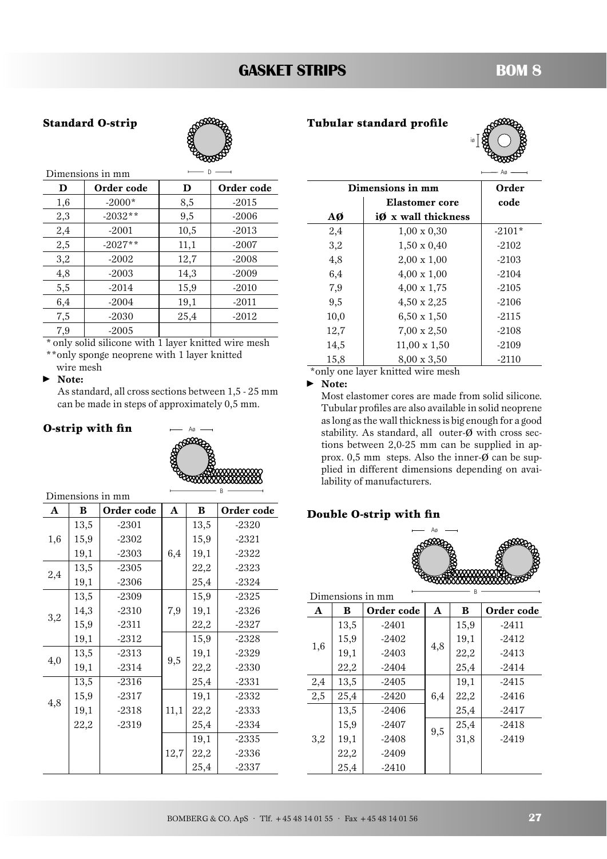# **GASKET STRIPS BOM 8**

#### **Standard O-strip**



|     | Dimensions in mm |      |            |                           |                     | - Ae           |
|-----|------------------|------|------------|---------------------------|---------------------|----------------|
| D   | Order code       | D    | Order code |                           | Dimensions in mm    | $\mathbf{O}_1$ |
| 1,6 | $-2000*$         | 8,5  | $-2015$    |                           | Elastomer core      | $c\epsilon$    |
| 2,3 | $-2032**$        | 9,5  | $-2006$    | $A\boldsymbol{\emptyset}$ | iØ x wall thickness |                |
| 2,4 | $-2001$          | 10,5 | $-2013$    | 2,4                       | $1,00 \times 0,30$  | $-21$          |
| 2,5 | $-2027**$        | 11,1 | $-2007$    | 3,2                       | $1,50 \times 0,40$  | $-2$           |
| 3,2 | $-2002$          | 12,7 | $-2008$    | 4,8                       | $2,00 \times 1,00$  | $-2$           |
| 4,8 | $-2003$          | 14,3 | $-2009$    | 6,4                       | $4,00 \times 1,00$  | $-2$           |
| 5,5 | $-2014$          | 15,9 | $-2010$    | 7,9                       | $4,00 \times 1,75$  | $-2$           |
| 6,4 | $-2004$          | 19,1 | $-2011$    | 9,5                       | $4,50 \times 2,25$  | $-2$           |
| 7,5 | $-2030$          | 25,4 | $-2012$    | 10,0                      | $6,50 \times 1,50$  | -2             |
| 7,9 | $-2005$          |      |            | 12,7                      | $7,00 \times 2,50$  | $-2$           |

\* only solid silicone with 1 layer knitted wire mesh \*\*only sponge neoprene with 1 layer knitted

wire mesh  $\blacktriangleright$ **Note:**

> As standard, all cross sections between 1,5 - 25 mm can be made in steps of approximately 0,5 mm.

### **O-strip with fin**



| Dimensions in mm |      |            |      |      |            |
|------------------|------|------------|------|------|------------|
| A                | B    | Order code | A    | B    | Order code |
|                  | 13,5 | $-2301$    |      | 13,5 | $-2320$    |
| 1,6              | 15,9 | $-2302$    |      | 15,9 | -2321      |
|                  | 19,1 | $-2303$    | 6,4  | 19,1 | -2322      |
|                  | 13,5 | $-2305$    |      | 22,2 | $-2323$    |
| 2,4              | 19,1 | $-2306$    |      | 25,4 | $-2324$    |
|                  | 13,5 | $-2309$    |      | 15,9 | $-2325$    |
|                  | 14,3 | $-2310$    | 7,9  | 19,1 | -2326      |
| 3,2              | 15,9 | $-2311$    |      | 22,2 | $-2327$    |
|                  | 19,1 | $-2312$    |      | 15,9 | $-2328$    |
|                  | 13,5 | $-2313$    |      | 19,1 | $-2329$    |
| 4,0              | 19,1 | $-2314$    | 9,5  | 22,2 | $-2330$    |
|                  | 13,5 | $-2316$    |      | 25,4 | $-2331$    |
|                  | 15,9 | $-2317$    |      | 19,1 | $-2332$    |
| 4,8              | 19,1 | $-2318$    | 11,1 | 22,2 | $-2333$    |
|                  | 22,2 | $-2319$    |      | 25,4 | $-2334$    |
|                  |      |            |      | 19,1 | $-2335$    |
|                  |      |            | 12,7 | 22,2 | $-2336$    |
|                  |      |            |      | 25,4 | -2337      |

| Tubular standard profile |  |
|--------------------------|--|
|--------------------------|--|



| Dimensions in mm | Order               |          |
|------------------|---------------------|----------|
|                  | Elastomer core      | code     |
| AØ               | iØ x wall thickness |          |
| 2,4              | $1,00 \times 0,30$  | $-2101*$ |
| 3,2              | $1,50 \times 0,40$  | $-2102$  |
| 4,8              | $2,00 \times 1,00$  | $-2103$  |
| 6,4              | $4,00 \times 1,00$  | $-2104$  |
| 7,9              | $4,00 \times 1,75$  | $-2105$  |
| 9,5              | 4,50 x 2,25         | $-2106$  |
| 10,0             | $6,50 \times 1,50$  | $-2115$  |
| 12,7             | $7,00 \times 2,50$  | $-2108$  |
| 14,5             | $11,00 \times 1,50$ | $-2109$  |
| 15,8             | $8,00 \times 3,50$  | $-2110$  |

\*only one layer knitted wire mesh

- **Note:**

Most elastomer cores are made from solid silicone. Tubular profiles are also available in solid neoprene as long as the wall thickness is big enough for a good stability. As standard, all outer-ø with cross sections between 2,0-25 mm can be supplied in approx.  $0,5$  mm steps. Also the inner- $\emptyset$  can be supplied in different dimensions depending on availability of manufacturers.

#### **Double O-strip with fin**



| R<br>Dimensions in mm |                 |         |     |      |            |
|-----------------------|-----------------|---------|-----|------|------------|
| $\mathbf{A}$          | Order code<br>B |         | A   | B    | Order code |
|                       | 13,5            | $-2401$ |     | 15,9 | $-2411$    |
|                       | 15,9            | $-2402$ |     | 19,1 | $-2412$    |
| 1,6                   | 19,1            | $-2403$ | 4,8 | 22,2 | $-2413$    |
|                       | 22,2            | $-2404$ |     | 25,4 | $-2414$    |
| 2,4                   | 13,5            | $-2405$ |     | 19,1 | $-2415$    |
| 2,5                   | 25,4            | $-2420$ | 6,4 | 22,2 | $-2416$    |
|                       | 13,5            | $-2406$ |     | 25,4 | $-2417$    |
|                       | 15,9            | $-2407$ |     | 25,4 | $-2418$    |
| 3,2                   | 19,1            | $-2408$ | 9,5 | 31,8 | $-2419$    |
|                       | 22,2            | $-2409$ |     |      |            |
|                       | 25,4            | $-2410$ |     |      |            |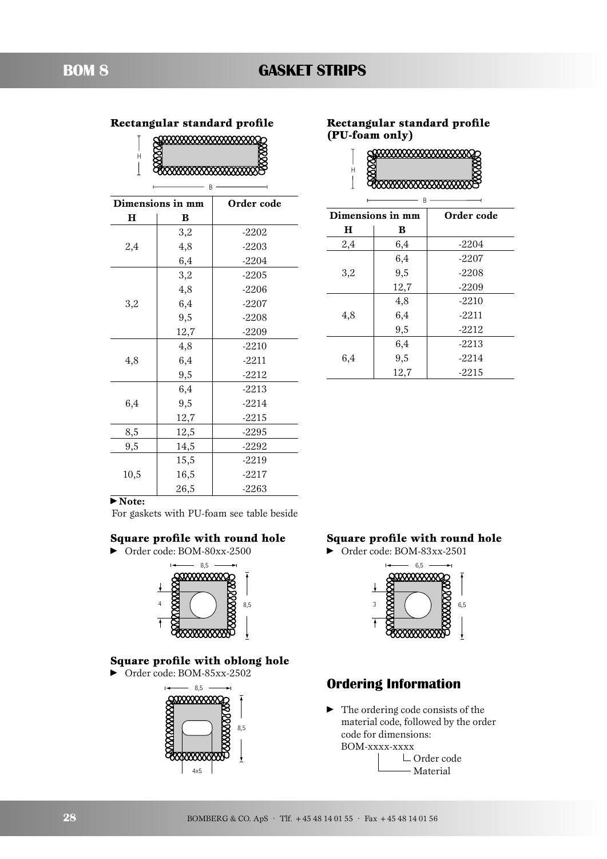| 9999999999999999999999 |
|------------------------|
|                        |
|                        |
|                        |

 $-$  B  $-$ 

|      | Dimensions in mm | Order code |
|------|------------------|------------|
| н    | B                |            |
|      | 3,2              | $-2202$    |
| 2,4  | 4,8              | $-2203$    |
|      | 6,4              | $-2204$    |
|      | 3,2              | $-2205$    |
|      | 4,8              | $-2206$    |
| 3,2  | 6,4              | $-2207$    |
|      | 9,5              | $-2208$    |
|      | 12,7             | $-2209$    |
|      | 4,8              | $-2210$    |
| 4,8  | 6,4              | $-2211$    |
|      | 9,5              | $-2212$    |
|      | 6,4              | $-2213$    |
| 6,4  | 9,5              | $-2214$    |
|      | 12,7             | $-2215$    |
| 8,5  | 12,5             | $-2295$    |
| 9,5  | 14,5             | $-2292$    |
|      | 15,5             | $-2219$    |
| 10,5 | 16,5             | -2217      |
|      | 26,5             | $-2263$    |

### Rectangular standard profile Rectangular standard profile **(PU-foam only)**

| \$\$\$\$\$\$\$\$\$\$\$\$\$\$\$\$\$\$\$\$\$\$\$ |  |
|------------------------------------------------|--|
|                                                |  |
|                                                |  |

 $\overline{\phantom{a}}$ 

| R                |      |            |  |
|------------------|------|------------|--|
| Dimensions in mm |      | Order code |  |
| н                | B    |            |  |
| 2,4              | 6,4  | $-2204$    |  |
|                  | 6,4  | $-2207$    |  |
| 3,2              | 9,5  | $-2208$    |  |
|                  | 12,7 | $-2209$    |  |
|                  | 4,8  | $-2210$    |  |
| 4,8              | 6,4  | $-2211$    |  |
|                  | 9,5  | $-2212$    |  |
|                  | 6,4  | $-2213$    |  |
| 6,4              | 9,5  | $-2214$    |  |
|                  | 12,7 | $-2215$    |  |

#### - **Note:**

For gaskets with PU-foam see table beside

#### **Square profile with round hole**





#### **Square profile with oblong hole**

#### • Order code: BOM-85xx-2502



#### **Square profile with round hole**

• Order code: BOM-83xx-2501



## **Ordering Information**

• The ordering code consists of the material code, followed by the order code for dimensions: BOM-xxxx-xxxx

Order code Material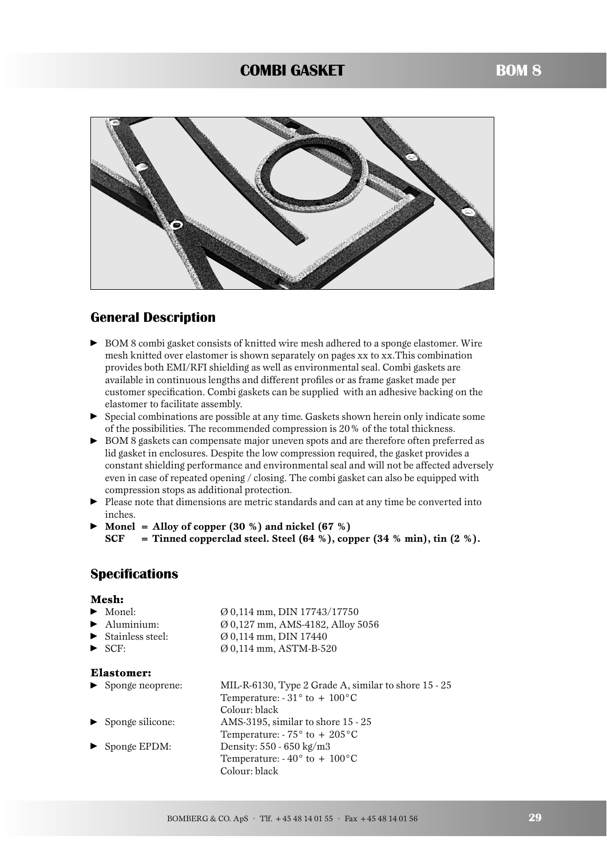## **COMBI GASKET**



## **General Description**

- ► BOM 8 combi gasket consists of knitted wire mesh adhered to a sponge elastomer. Wire mesh knitted over elastomer is shown separately on pages xx to xx.This combination provides both EMI/RFI shielding as well as environmental seal. Combi gaskets are available in continuous lengths and different profiles or as frame gasket made per customer specification. Combi gaskets can be supplied with an adhesive backing on the elastomer to facilitate assembly.
- Special combinations are possible at any time. Gaskets shown herein only indicate some of the possibilities. The recommended compression is 20% of the total thickness.
- BOM 8 gaskets can compensate major uneven spots and are therefore often preferred as lid gasket in enclosures. Despite the low compression required, the gasket provides a constant shielding performance and environmental seal and will not be affected adversely even in case of repeated opening / closing. The combi gasket can also be equipped with compression stops as additional protection.
- **•** Please note that dimensions are metric standards and can at any time be converted into inches.
- **Monel = Alloy of copper (30 %) and nickel (67 %) SCF = Tinned copperclad steel. Steel (64 %), copper (34 % min), tin (2 %).**

## **Specifications**

#### **Mesh:**

| $\blacktriangleright$ Monel:           | $\varnothing$ 0,114 mm, DIN 17743/17750      |
|----------------------------------------|----------------------------------------------|
| $\blacktriangleright$ Aluminium:       | $\varnothing$ 0.127 mm, AMS-4182, Alloy 5056 |
| $\blacktriangleright$ Stainless steel: | $\varnothing$ 0.114 mm, DIN 17440            |

-SCF: Ø 0,114 mm, ASTM-B-520

#### **Elastomer:**

► Sponge neoprene: MIL-R-6130, Type 2 Grade A, similar to shore 15 - 25 Temperature:  $-31^\circ$  to + 100 $^{\circ}$ C Colour: black - Sponge silicone: AMS-3195, similar to shore 15 - 25 Temperature:  $-75^\circ$  to  $+205^\circ$ C -Sponge EPDM: Density: 550 - 650 kg/m3 Temperature:  $-40^{\circ}$  to  $+100^{\circ}$ C Colour: black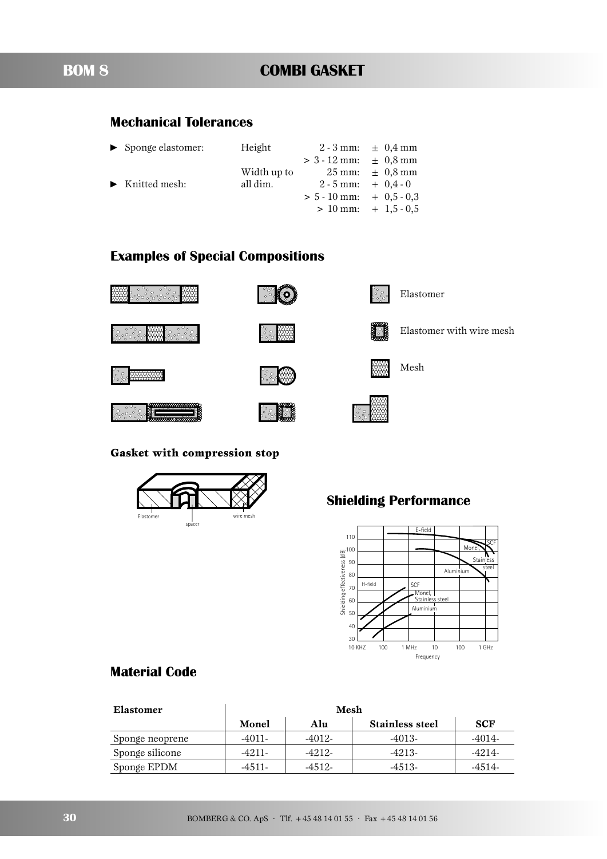## **Mechanical Tolerances**

| ▶ Sponge elastomer:                 | Height      |                              | $2 - 3$ mm: $\pm 0.4$ mm               |
|-------------------------------------|-------------|------------------------------|----------------------------------------|
|                                     |             | $> 3 - 12$ mm: $\pm 0.8$ mm  |                                        |
|                                     | Width up to |                              | $25 \text{ mm}$ : $\pm 0.8 \text{ mm}$ |
| $\blacktriangleright$ Knitted mesh: | all dim.    |                              | $2 - 5$ mm: $+ 0.4 - 0$                |
|                                     |             | $> 5 - 10$ mm: $+ 0.5 - 0.3$ |                                        |
|                                     |             |                              | $> 10$ mm: $+ 1,5 - 0,5$               |
|                                     |             |                              |                                        |

## **Examples of Special Compositions**



်ွိႏွိႏိ



ೢಁೢೢ

ိုင္ပိ

ပ္ဂ်ိဳ၀ွ Elastomer

Elastomer with wire mesh



**Gasket with compression stop**



# **Shielding Performance**



## **Material Code**

| Elastomer       | Mesh     |          |                        |            |  |  |
|-----------------|----------|----------|------------------------|------------|--|--|
|                 | Monel    | Alu      | <b>Stainless steel</b> | <b>SCF</b> |  |  |
| Sponge neoprene | $-4011-$ | -4012-   | $-4013-$               | -4014-     |  |  |
| Sponge silicone | $-4211-$ | $-4212-$ | $-4213-$               | -4214-     |  |  |
| Sponge EPDM     | $-4511-$ | $-4512-$ | $-4.513-$              | $-4514-$   |  |  |